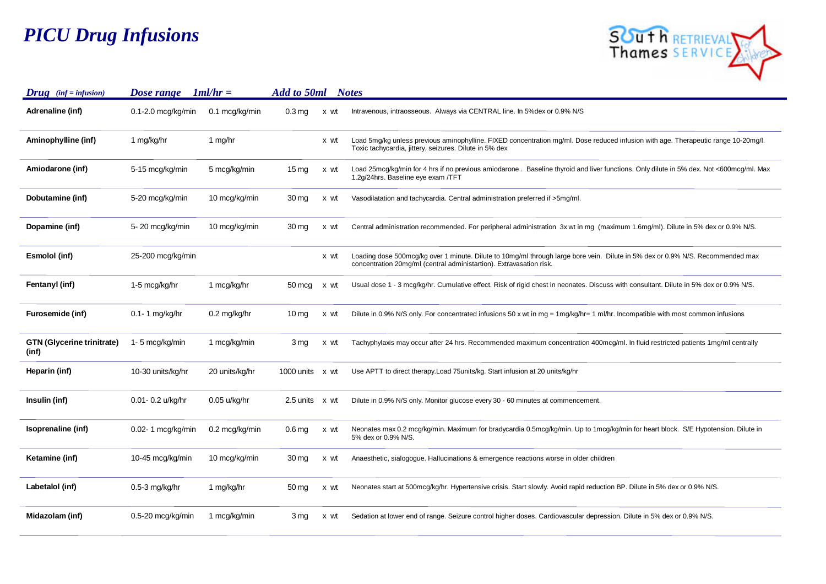## *PICU Drug Infusions*



| $Drug$ (inf = infusion)                    | Dose range             | $1ml/hr =$               | Add to 50ml            |      | <b>Notes</b>                                                                                                                                                                                          |
|--------------------------------------------|------------------------|--------------------------|------------------------|------|-------------------------------------------------------------------------------------------------------------------------------------------------------------------------------------------------------|
| Adrenaline (inf)                           | $0.1 - 2.0$ mcg/kg/min | $0.1 \text{~mcg/kg/min}$ | 0.3 <sub>mg</sub>      | x wt | Intravenous, intraosseous. Always via CENTRAL line. In 5% dex or 0.9% N/S                                                                                                                             |
| Aminophylline (inf)                        | 1 mg/kg/hr             | 1 mg/hr                  |                        | x wt | Load 5mg/kg unless previous aminophylline. FIXED concentration mg/ml. Dose reduced infusion with age. Therapeutic range 10-20mg/l.<br>Toxic tachycardia, jittery, seizures. Dilute in 5% dex          |
| Amiodarone (inf)                           | 5-15 mcg/kg/min        | 5 mcg/kg/min             | $15 \,\mathrm{mg}$     | x wt | Load 25mcg/kg/min for 4 hrs if no previous amiodarone. Baseline thyroid and liver functions. Only dilute in 5% dex. Not <600mcg/ml. Max<br>1.2g/24hrs. Baseline eye exam /TFT                         |
| Dobutamine (inf)                           | 5-20 mcg/kg/min        | 10 mcg/kg/min            | 30 mg                  | x wt | Vasodilatation and tachycardia. Central administration preferred if >5mg/ml.                                                                                                                          |
| Dopamine (inf)                             | 5-20 mcg/kg/min        | 10 mcg/kg/min            | 30 mg                  | x wt | Central administration recommended. For peripheral administration 3x wt in mg (maximum 1.6mg/ml). Dilute in 5% dex or 0.9% N/S.                                                                       |
| Esmolol (inf)                              | 25-200 mcg/kg/min      |                          |                        | x wt | Loading dose 500mcg/kg over 1 minute. Dilute to 10mg/ml through large bore vein. Dilute in 5% dex or 0.9% N/S. Recommended max<br>concentration 20mg/ml (central administartion). Extravasation risk. |
| Fentanyl (inf)                             | 1-5 mcg/kg/hr          | 1 mcg/kg/hr              | 50 mcg                 | x wt | Usual dose 1 - 3 mcg/kg/hr. Cumulative effect. Risk of rigid chest in neonates. Discuss with consultant. Dilute in 5% dex or 0.9% N/S.                                                                |
| Furosemide (inf)                           | $0.1 - 1$ mg/kg/hr     | $0.2$ mg/kg/hr           | $10 \,\mathrm{mg}$     | x wt | Dilute in 0.9% N/S only. For concentrated infusions 50 x wt in mg = $1$ mg/kg/hr= 1 ml/hr. Incompatible with most common infusions                                                                    |
| <b>GTN (Glycerine trinitrate)</b><br>(inf) | 1-5 mcg/kg/min         | 1 mcg/kg/min             | 3 <sub>mg</sub>        | x wt | Tachyphylaxis may occur after 24 hrs. Recommended maximum concentration 400mcg/ml. In fluid restricted patients 1mg/ml centrally                                                                      |
| Heparin (inf)                              | 10-30 units/kg/hr      | 20 units/kg/hr           | 1000 units $\times$ wt |      | Use APTT to direct therapy. Load 75 units/kg. Start infusion at 20 units/kg/hr                                                                                                                        |
| Insulin (inf)                              | 0.01- 0.2 u/kg/hr      | 0.05 u/kg/hr             | 2.5 units x wt         |      | Dilute in 0.9% N/S only. Monitor glucose every 30 - 60 minutes at commencement.                                                                                                                       |
| Isoprenaline (inf)                         | 0.02- 1 mcg/kg/min     | 0.2 mcg/kg/min           | 0.6 <sub>mg</sub>      | x wt | Neonates max 0.2 mcg/kg/min. Maximum for bradycardia 0.5mcg/kg/min. Up to 1mcg/kg/min for heart block. S/E Hypotension. Dilute in<br>5% dex or 0.9% N/S.                                              |
| Ketamine (inf)                             | 10-45 mcg/kg/min       | 10 mcg/kg/min            | 30 mg                  | x wt | Anaesthetic, sialogogue. Hallucinations & emergence reactions worse in older children                                                                                                                 |
| Labetalol (inf)                            | $0.5-3$ mg/kg/hr       | 1 mg/kg/hr               | $50 \,\mathrm{mg}$     | x wt | Neonates start at 500mcg/kg/hr. Hypertensive crisis. Start slowly. Avoid rapid reduction BP. Dilute in 5% dex or 0.9% N/S.                                                                            |
| Midazolam (inf)                            | $0.5-20$ mcg/kg/min    | 1 mcg/kg/min             | 3 mg                   | x wt | Sedation at lower end of range. Seizure control higher doses. Cardiovascular depression. Dilute in 5% dex or 0.9% N/S.                                                                                |